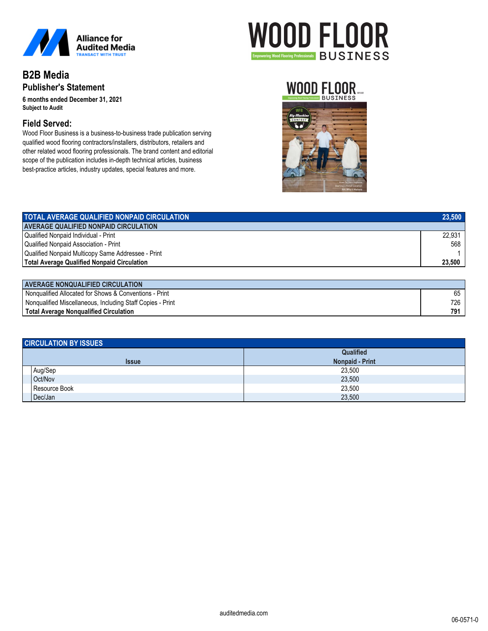

## **B2B Media Publisher's Statement**

**6 months ended December 31, 2021** *Subject to Audit*

### **Field Served:**

Wood Floor Business is a business-to-business trade publication serving qualified wood flooring contractors/installers, distributors, retailers and other related wood flooring professionals. The brand content and editorial scope of the publication includes in-depth technical articles, business best-practice articles, industry updates, special features and more.

# **WOOD FLOOR Empowering Wood Flooring Professionals** BUSINESS

## WOOD FLOOR.



| <b>TOTAL AVERAGE QUALIFIED NONPAID CIRCULATION</b>                                                                                                                                                                                                                                                                                                                                                                     | 23,500 |
|------------------------------------------------------------------------------------------------------------------------------------------------------------------------------------------------------------------------------------------------------------------------------------------------------------------------------------------------------------------------------------------------------------------------|--------|
| <b>AVERAGE QUALIFIED NONPAID CIRCULATION</b>                                                                                                                                                                                                                                                                                                                                                                           |        |
| Qualified Nonpaid Individual - Print                                                                                                                                                                                                                                                                                                                                                                                   | 22,931 |
| Qualified Nonpaid Association - Print                                                                                                                                                                                                                                                                                                                                                                                  | 568    |
| Qualified Nonpaid Multicopy Same Addressee - Print                                                                                                                                                                                                                                                                                                                                                                     |        |
| <b>Total Average Qualified Nonpaid Circulation</b>                                                                                                                                                                                                                                                                                                                                                                     | 23,500 |
|                                                                                                                                                                                                                                                                                                                                                                                                                        |        |
| $\mathbf{A} \mathbf{A} \mathbf{B} \mathbf{B} \mathbf{A} \mathbf{A} \mathbf{B} \mathbf{A} \mathbf{A} \mathbf{A} \mathbf{A} \mathbf{A} \mathbf{A} \mathbf{A} \mathbf{A} \mathbf{A} \mathbf{A} \mathbf{B} \mathbf{B} \mathbf{B} \mathbf{A} \mathbf{A} \mathbf{A} \mathbf{A} \mathbf{A} \mathbf{A} \mathbf{A} \mathbf{A} \mathbf{A} \mathbf{A} \mathbf{A} \mathbf{A} \mathbf{A} \mathbf{A} \mathbf{A} \mathbf{A} \mathbf{$ |        |

| <b>AVERAGE NONQUALIFIED CIRCULATION</b>                    |     |
|------------------------------------------------------------|-----|
| Nongualified Allocated for Shows & Conventions - Print     | 65  |
| Nonqualified Miscellaneous, Including Staff Copies - Print | 726 |
| Total Average Nongualified Circulation                     | 791 |

| <b>CIRCULATION BY ISSUES</b> |               |                        |  |  |
|------------------------------|---------------|------------------------|--|--|
|                              |               | Qualified              |  |  |
|                              | <b>Issue</b>  | <b>Nonpaid - Print</b> |  |  |
|                              | Aug/Sep       | 23,500                 |  |  |
|                              | Oct/Nov       | 23,500                 |  |  |
|                              | Resource Book | 23,500                 |  |  |
|                              | Dec/Jan       | 23,500                 |  |  |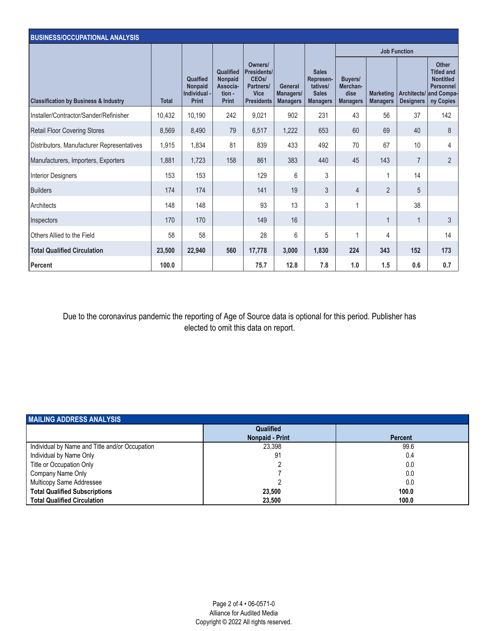| <b>BUSINESS/OCCUPATIONAL ANALYSIS</b>            |              |                                                     |                                                                   |                                                                                               |                                         |                                                                          |                                                       |                                     |                                 |                                                                                                      |
|--------------------------------------------------|--------------|-----------------------------------------------------|-------------------------------------------------------------------|-----------------------------------------------------------------------------------------------|-----------------------------------------|--------------------------------------------------------------------------|-------------------------------------------------------|-------------------------------------|---------------------------------|------------------------------------------------------------------------------------------------------|
|                                                  |              |                                                     |                                                                   |                                                                                               |                                         |                                                                          |                                                       |                                     | <b>Job Function</b>             |                                                                                                      |
| <b>Classification by Business &amp; Industry</b> | <b>Total</b> | Qualfied<br>Nonpaid<br>Individual -<br><b>Print</b> | Qualified<br><b>Nonpaid</b><br>Associa-<br>tion -<br><b>Print</b> | Owners/<br>Presidents/<br>CEO <sub>s</sub> /<br>Partners/<br><b>Vice</b><br><b>Presidents</b> | General<br>Managers/<br><b>Managers</b> | <b>Sales</b><br>Represen-<br>tatives/<br><b>Sales</b><br><b>Managers</b> | <b>Buyers/</b><br>Merchan-<br>dise<br><b>Managers</b> | <b>Marketing</b><br><b>Managers</b> | Architects/<br><b>Designers</b> | <b>Other</b><br><b>Titled and</b><br><b>Nontitled</b><br><b>Personnel</b><br>and Compa-<br>ny Copies |
| Installer/Contractor/Sander/Refinisher           | 10,432       | 10,190                                              | 242                                                               | 9,021                                                                                         | 902                                     | 231                                                                      | 43                                                    | 56                                  | 37                              | 142                                                                                                  |
| <b>Retail Floor Covering Stores</b>              | 8,569        | 8,490                                               | 79                                                                | 6,517                                                                                         | 1,222                                   | 653                                                                      | 60                                                    | 69                                  | 40                              | 8                                                                                                    |
| Distributors, Manufacturer Representatives       | 1,915        | 1,834                                               | 81                                                                | 839                                                                                           | 433                                     | 492                                                                      | 70                                                    | 67                                  | 10                              | 4                                                                                                    |
| Manufacturers, Importers, Exporters              | 1,881        | 1,723                                               | 158                                                               | 861                                                                                           | 383                                     | 440                                                                      | 45                                                    | 143                                 | $\overline{7}$                  | $\overline{2}$                                                                                       |
| <b>Interior Designers</b>                        | 153          | 153                                                 |                                                                   | 129                                                                                           | 6                                       | 3                                                                        |                                                       | 1                                   | 14                              |                                                                                                      |
| <b>Builders</b>                                  | 174          | 174                                                 |                                                                   | 141                                                                                           | 19                                      | 3                                                                        | $\overline{4}$                                        | $\overline{2}$                      | 5                               |                                                                                                      |
| Architects                                       | 148          | 148                                                 |                                                                   | 93                                                                                            | 13                                      | 3                                                                        | 1                                                     |                                     | 38                              |                                                                                                      |
| Inspectors                                       | 170          | 170                                                 |                                                                   | 149                                                                                           | 16                                      |                                                                          |                                                       | 1                                   | 1                               | 3                                                                                                    |
| Others Allied to the Field                       | 58           | 58                                                  |                                                                   | 28                                                                                            | 6                                       | 5                                                                        | 1                                                     | 4                                   |                                 | 14                                                                                                   |
| <b>Total Qualified Circulation</b>               | 23,500       | 22,940                                              | 560                                                               | 17,778                                                                                        | 3,000                                   | 1,830                                                                    | 224                                                   | 343                                 | 152                             | 173                                                                                                  |
| Percent                                          | 100.0        |                                                     |                                                                   | 75.7                                                                                          | 12.8                                    | 7.8                                                                      | 1.0                                                   | 1.5                                 | 0.6                             | 0.7                                                                                                  |

Due to the coronavirus pandemic the reporting of Age of Source data is optional for this period. Publisher has elected to omit this data on report.

| <b>MAILING ADDRESS ANALYSIS</b>                |                        |                |  |  |  |
|------------------------------------------------|------------------------|----------------|--|--|--|
|                                                | <b>Qualified</b>       |                |  |  |  |
|                                                | <b>Nonpaid - Print</b> | <b>Percent</b> |  |  |  |
| Individual by Name and Title and/or Occupation | 23.398                 | 99.6           |  |  |  |
| Individual by Name Only                        | 91                     | 0.4            |  |  |  |
| Title or Occupation Only                       |                        | 0.0            |  |  |  |
| Company Name Only                              |                        | 0.0            |  |  |  |
| Multicopy Same Addressee                       |                        | 0.0            |  |  |  |
| <b>Total Qualified Subscriptions</b>           | 23.500                 | 100.0          |  |  |  |
| <b>Total Qualified Circulation</b>             | 23.500                 | 100.0          |  |  |  |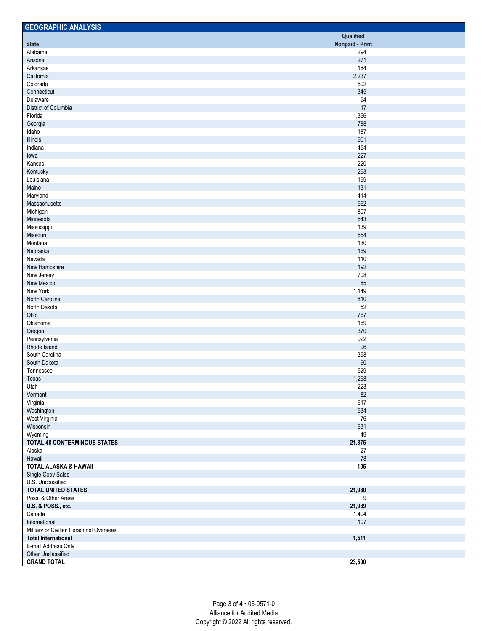| <b>GEOGRAPHIC ANALYSIS</b>              |                        |
|-----------------------------------------|------------------------|
|                                         | Qualified              |
| <b>State</b>                            | <b>Nonpaid - Print</b> |
| Alabama                                 | 294                    |
| Arizona                                 | 271                    |
| Arkansas                                | 184                    |
| California                              | 2,237                  |
| Colorado                                | 502                    |
| Connecticut                             | 345                    |
| Delaware                                | 94                     |
| District of Columbia                    | 17                     |
| Florida                                 | 1,356                  |
| Georgia                                 | 788                    |
| Idaho                                   | 187                    |
| Illinois                                | 901                    |
| Indiana                                 | 454                    |
| lowa                                    | 227                    |
| Kansas                                  | 220                    |
| Kentucky                                | 293                    |
| Louisiana                               | 199                    |
| Maine                                   | 131                    |
| Maryland                                | 414                    |
| Massachusetts                           | 562                    |
| Michigan                                | 807                    |
| Minnesota                               | 543                    |
| Mississippi                             | 139                    |
| Missouri                                | 554                    |
| Montana                                 | 130                    |
| Nebraska                                | 169                    |
| Nevada                                  | 110                    |
| New Hampshire                           | 192                    |
| New Jersey                              | 708                    |
| New Mexico                              | 85                     |
| New York                                | 1,149                  |
| North Carolina                          | 810                    |
| North Dakota                            | 52                     |
| Ohio                                    | 767                    |
| Oklahoma                                | 169                    |
| Oregon                                  | 370                    |
| Pennsylvania                            | 922                    |
| Rhode Island                            | 96                     |
| South Carolina                          | 358                    |
|                                         | 60                     |
| South Dakota                            |                        |
| Tennessee                               | 529                    |
| Texas                                   | 1,268                  |
| Utah                                    | 223                    |
| Vermont                                 | 82                     |
| Virginia                                | 617                    |
| Washington                              | 534                    |
| West Virginia                           | 76                     |
| Wisconsin                               | 631                    |
| Wyoming                                 | 49                     |
| <b>TOTAL 48 CONTERMINOUS STATES</b>     | 21,875                 |
| Alaska                                  | 27                     |
| Hawaii                                  | $78\,$                 |
| <b>TOTAL ALASKA &amp; HAWAII</b>        | 105                    |
| Single Copy Sales                       |                        |
| U.S. Unclassified                       |                        |
| <b>TOTAL UNITED STATES</b>              | 21,980                 |
| Poss. & Other Areas                     | 9                      |
| U.S. & POSS., etc.                      | 21,989                 |
| Canada                                  | 1,404                  |
| International                           | 107                    |
| Military or Civilian Personnel Overseas |                        |
| <b>Total International</b>              | 1,511                  |
| E-mail Address Only                     |                        |
| Other Unclassified                      |                        |
| <b>GRAND TOTAL</b>                      | 23,500                 |